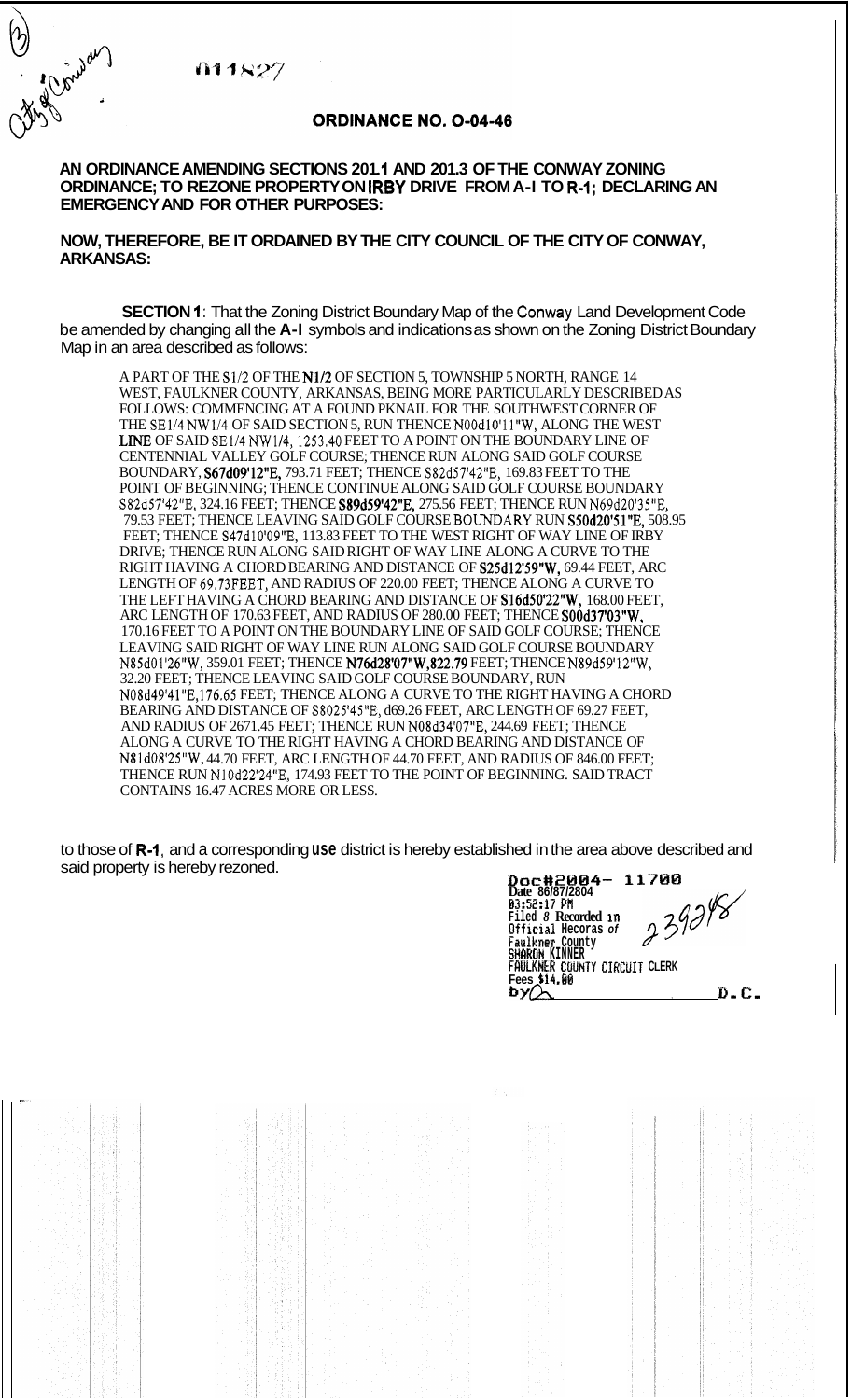011827

of Concert

## **ORDINANCE NO. 0-04-46**

## AN ORDINANCE AMENDING SECTIONS 201.1 AND 201.3 OF THE CONWAY ZONING **EMERGENCY AND FOR OTHER PURPOSES: ORDINANCE; TO REZONE PROPERTY ON IRBY DRIVE FROM A-I TO R-1; DECLARING AN**

**NOW, THEREFORE, BE IT ORDAINED BY THE CITY COUNCIL OF THE CITY OF CONWAY, ARKANSAS:** 

**SECTION 1:** That the Zoning District Boundary Map of the Conway Land Development Code be amended by changing all the **A-I** symbols and indications as shown on the Zoning District Boundary Map in an area described as follows:

A PART OF THE \$1/2 OF THE N1/2 OF SECTION 5, TOWNSHIP 5 NORTH, RANGE 14 WEST, FAULKNER COUNTY, ARKANSAS, BEING MORE PARTICULARLY DESCRIBED AS FOLLOWS: COMMENCING AT A FOUND PKNAIL FOR THE SOUTHWEST CORNER OF THE SE1/4 NW1/4 OF SAID SECTION 5, RUN THENCE NOOd10'11"W, ALONG THE WEST LINE OF SAID SE1/4 NW1/4, 1253.40 FEET TO A POINT ON THE BOUNDARY LINE OF CENTENNIAL VALLEY GOLF COURSE; THENCE RUN ALONG SAID GOLF COURSE BOUNDARY, S67d09'12"E, 793.71 FEET; THENCE S82d57'42"E, 169.83 FEET TO THE POINT OF BEGINNING; THENCE CONTINUE ALONG SAID GOLF COURSE BOUNDARY S82d57'42"E, 324.16 FEET; THENCE S89d59'42"E, 275.56 FEET; THENCE RUN N69d20'35"E, 79.53 FEET; THENCE LEAVING SAID GOLF COURSE BOUNDARY RUN S50d20'51"E, 508.95 FEET; THENCE S47d10'09"E, 113.83 FEET TO THE WEST RIGHT OF WAY LINE OF IRBY DRIVE; THENCE RUN ALONG SAID RIGHT OF WAY LINE ALONG A CURVE TO THE RIGHT HAVING A CHORD BEARING AND DISTANCE OF S25d12'59"W, 69.44 FEET, ARC LENGTH OF 69.73FEET, AND RADIUS OF 220.00 FEET; THENCE ALONG A CURVE TO THE LEFT HAVING A CHORD BEARING AND DISTANCE OF **S16d50'22"W**, 168.00 FEET, ARC LENGTH OF 170.63 FEET, AND RADIUS OF 280.00 FEET; THENCE SOOd37'03"W, 170.16 FEET TO A POINT ON THE BOUNDARY LINE OF SAID GOLF COURSE; THENCE LEAVING SAID RIGHT OF WAY LINE RUN ALONG SAID GOLF COURSE BOUNDARY N85d01'26''Wy 359.01 FEET; THENCE N76d28'07"W,822.79 FEET; THENCE N89d59'12''Wy 32.20 FEET; THENCE LEAVING SAID GOLF COURSE BOUNDARY, RUN N08d49'41"E,176.65 FEET; THENCE ALONG A CURVE TO THE RIGHT HAVING A CHORD BEARING AND DISTANCE OF S8025'45"E, d69.26 FEET, ARC LENGTH OF 69.27 FEET, AND RADIUS OF 2671.45 FEET; THENCE RUN N08d34'07"E, 244.69 FEET; THENCE ALONG A CURVE TO THE RIGHT HAVING A CHORD BEARING AND DISTANCE OF N81dO8'25''Wy 44.70 FEET, ARC LENGTH OF 44.70 FEET, AND RADIUS OF 846.00 FEET; THENCE RUN N10d22'24"E, 174.93 FEET TO THE POINT OF BEGINNING. SAID TRACT CONTAINS 16.47 ACRES MORE OR LESS.

to those of **R-I,** and a corresponding **use** district is hereby established in the area above described and said property is hereby rezoned. **Doct 1200** *Doct 2004 - 11700* 

**Date 86/87/2804 63:52:17 P# Filed** *8* **Recorded in Official Hecoras** *of*  **Faulkner County SHRHOH KINNER FRULKNtR COUNTY CIRCUIT CLERK Fees \$14.@@**  *by&* , **D-C,**  *asCiaK*